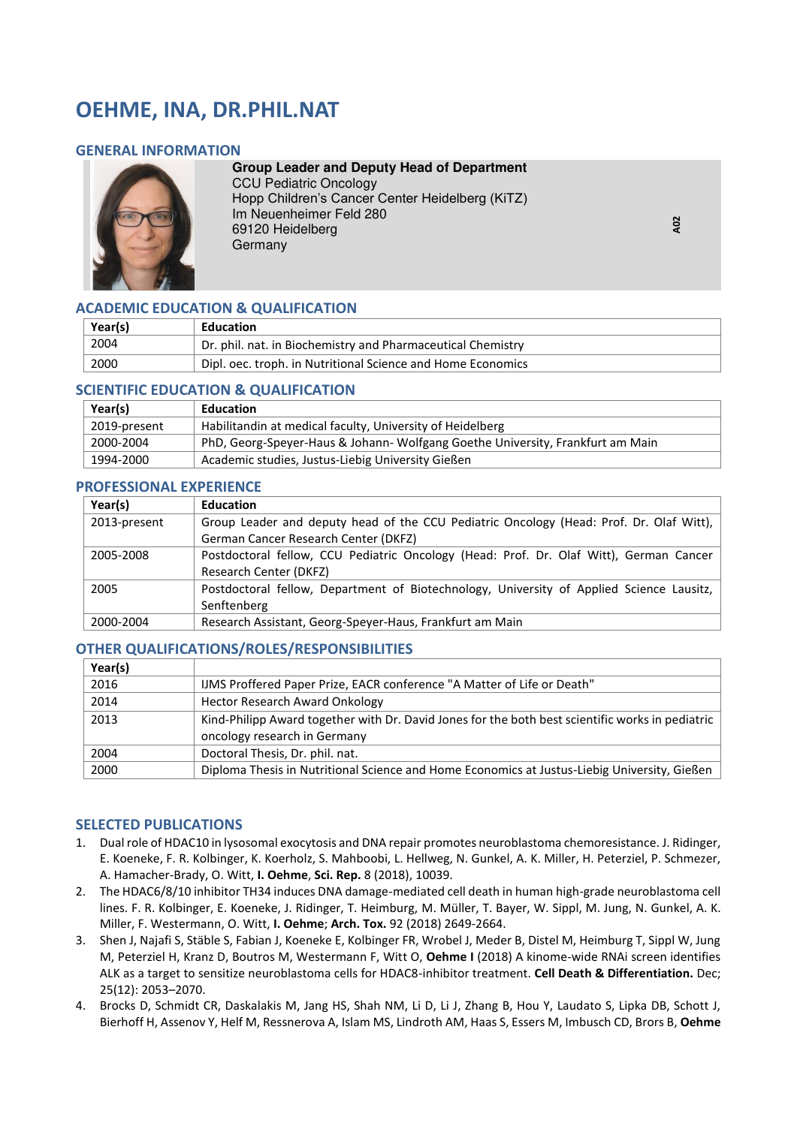# **OEHME, INA, DR.PHIL.NAT**

#### **GENERAL INFORMATION**



**Group Leader and Deputy Head of Department**  CCU Pediatric Oncology Hopp Children's Cancer Center Heidelberg (KiTZ) Im Neuenheimer Feld 280 69120 Heidelberg Germany

**A02** 

# **ACADEMIC EDUCATION & QUALIFICATION**

| Year(s) | <b>Education</b>                                            |
|---------|-------------------------------------------------------------|
| 2004    | Dr. phil. nat. in Biochemistry and Pharmaceutical Chemistry |
| 2000    | Dipl. oec. troph. in Nutritional Science and Home Economics |

#### **SCIENTIFIC EDUCATION & QUALIFICATION**

| Year(s)      | Education                                                                      |
|--------------|--------------------------------------------------------------------------------|
| 2019-present | Habilitandin at medical faculty, University of Heidelberg                      |
| 2000-2004    | PhD, Georg-Speyer-Haus & Johann- Wolfgang Goethe University, Frankfurt am Main |
| 1994-2000    | Academic studies, Justus-Liebig University Gießen                              |

#### **PROFESSIONAL EXPERIENCE**

| Year(s)      | Education                                                                                |
|--------------|------------------------------------------------------------------------------------------|
| 2013-present | Group Leader and deputy head of the CCU Pediatric Oncology (Head: Prof. Dr. Olaf Witt),  |
|              | German Cancer Research Center (DKFZ)                                                     |
| 2005-2008    | Postdoctoral fellow, CCU Pediatric Oncology (Head: Prof. Dr. Olaf Witt), German Cancer   |
|              | Research Center (DKFZ)                                                                   |
| 2005         | Postdoctoral fellow, Department of Biotechnology, University of Applied Science Lausitz, |
|              | Senftenberg                                                                              |
| 2000-2004    | Research Assistant, Georg-Speyer-Haus, Frankfurt am Main                                 |

## **OTHER QUALIFICATIONS/ROLES/RESPONSIBILITIES**

| Year(s) |                                                                                                  |
|---------|--------------------------------------------------------------------------------------------------|
| 2016    | IJMS Proffered Paper Prize, EACR conference "A Matter of Life or Death"                          |
| 2014    | <b>Hector Research Award Onkology</b>                                                            |
| 2013    | Kind-Philipp Award together with Dr. David Jones for the both best scientific works in pediatric |
|         | oncology research in Germany                                                                     |
| 2004    | Doctoral Thesis, Dr. phil. nat.                                                                  |
| 2000    | Diploma Thesis in Nutritional Science and Home Economics at Justus-Liebig University, Gießen     |

## **SELECTED PUBLICATIONS**

- 1. Dual role of HDAC10 in lysosomal exocytosis and DNA repair promotes neuroblastoma chemoresistance. J. Ridinger, E. Koeneke, F. R. Kolbinger, K. Koerholz, S. Mahboobi, L. Hellweg, N. Gunkel, A. K. Miller, H. Peterziel, P. Schmezer, A. Hamacher-Brady, O. Witt, **I. Oehme**, **Sci. Rep.** 8 (2018), 10039.
- 2. The HDAC6/8/10 inhibitor TH34 induces DNA damage-mediated cell death in human high-grade neuroblastoma cell lines. F. R. Kolbinger, E. Koeneke, J. Ridinger, T. Heimburg, M. Müller, T. Bayer, W. Sippl, M. Jung, N. Gunkel, A. K. Miller, F. Westermann, O. Witt, **I. Oehme**; **Arch. Tox.** 92 (2018) 2649-2664.
- 3. Shen J, Najafi S, Stäble S, Fabian J, Koeneke E, Kolbinger FR, Wrobel J, Meder B, Distel M, Heimburg T, Sippl W, Jung M, Peterziel H, Kranz D, Boutros M, Westermann F, Witt O, **Oehme I** (2018) A kinome-wide RNAi screen identifies ALK as a target to sensitize neuroblastoma cells for HDAC8-inhibitor treatment. **Cell Death & Differentiation.** Dec; 25(12): 2053–2070.
- 4. Brocks D, Schmidt CR, Daskalakis M, Jang HS, Shah NM, Li D, Li J, Zhang B, Hou Y, Laudato S, Lipka DB, Schott J, Bierhoff H, Assenov Y, Helf M, Ressnerova A, Islam MS, Lindroth AM, Haas S, Essers M, Imbusch CD, Brors B, **Oehme**